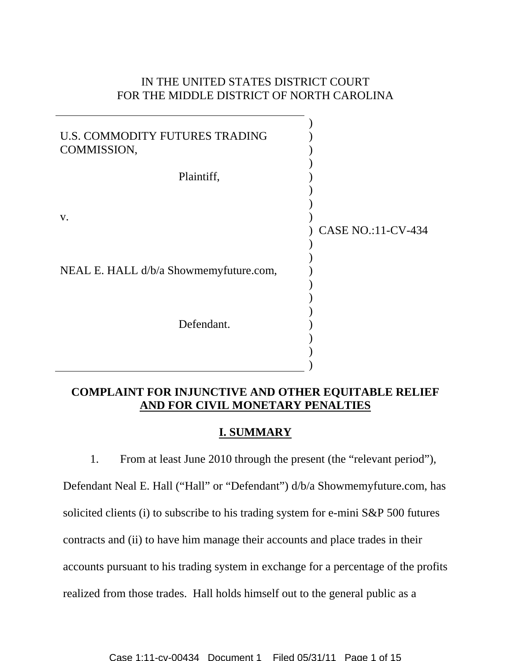# IN THE UNITED STATES DISTRICT COURT FOR THE MIDDLE DISTRICT OF NORTH CAROLINA



# **COMPLAINT FOR INJUNCTIVE AND OTHER EQUITABLE RELIEF AND FOR CIVIL MONETARY PENALTIES**

# **I. SUMMARY**

1. From at least June 2010 through the present (the "relevant period"), Defendant Neal E. Hall ("Hall" or "Defendant") d/b/a Showmemyfuture.com, has solicited clients (i) to subscribe to his trading system for e-mini S&P 500 futures contracts and (ii) to have him manage their accounts and place trades in their accounts pursuant to his trading system in exchange for a percentage of the profits realized from those trades. Hall holds himself out to the general public as a

Case 1:11-cv-00434 Document 1 Filed 05/31/11 Page 1 of 15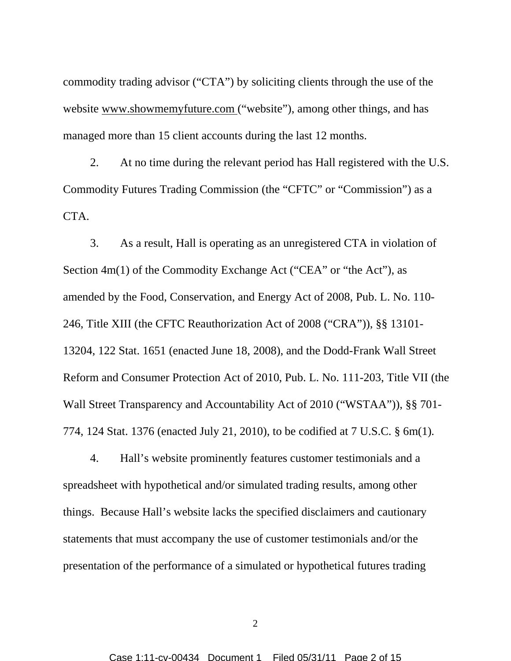commodity trading advisor ("CTA") by soliciting clients through the use of the website www.showmemyfuture.com ("website"), among other things, and has managed more than 15 client accounts during the last 12 months.

2. At no time during the relevant period has Hall registered with the U.S. Commodity Futures Trading Commission (the "CFTC" or "Commission") as a CTA.

3. As a result, Hall is operating as an unregistered CTA in violation of Section 4m(1) of the Commodity Exchange Act ("CEA" or "the Act"), as amended by the Food, Conservation, and Energy Act of 2008, Pub. L. No. 110- 246, Title XIII (the CFTC Reauthorization Act of 2008 ("CRA")), §§ 13101- 13204, 122 Stat. 1651 (enacted June 18, 2008), and the Dodd-Frank Wall Street Reform and Consumer Protection Act of 2010, Pub. L. No. 111-203, Title VII (the Wall Street Transparency and Accountability Act of 2010 ("WSTAA")), §§ 701- 774, 124 Stat. 1376 (enacted July 21, 2010), to be codified at 7 U.S.C. § 6m(1)*.*

4. Hall's website prominently features customer testimonials and a spreadsheet with hypothetical and/or simulated trading results, among other things. Because Hall's website lacks the specified disclaimers and cautionary statements that must accompany the use of customer testimonials and/or the presentation of the performance of a simulated or hypothetical futures trading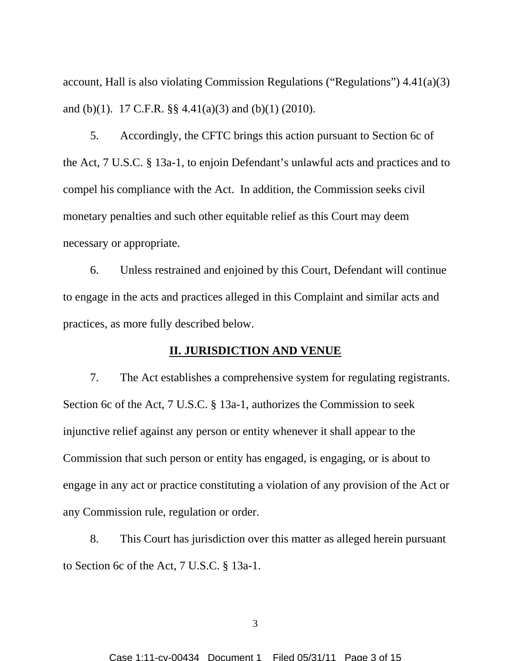account, Hall is also violating Commission Regulations ("Regulations") 4.41(a)(3) and (b)(1). 17 C.F.R. §§ 4.41(a)(3) and (b)(1) (2010).

5. Accordingly, the CFTC brings this action pursuant to Section 6c of the Act, 7 U.S.C. § 13a-1, to enjoin Defendant's unlawful acts and practices and to compel his compliance with the Act. In addition, the Commission seeks civil monetary penalties and such other equitable relief as this Court may deem necessary or appropriate.

6. Unless restrained and enjoined by this Court, Defendant will continue to engage in the acts and practices alleged in this Complaint and similar acts and practices, as more fully described below.

### **II. JURISDICTION AND VENUE**

7. The Act establishes a comprehensive system for regulating registrants. Section 6c of the Act, 7 U.S.C. § 13a-1, authorizes the Commission to seek injunctive relief against any person or entity whenever it shall appear to the Commission that such person or entity has engaged, is engaging, or is about to engage in any act or practice constituting a violation of any provision of the Act or any Commission rule, regulation or order.

8. This Court has jurisdiction over this matter as alleged herein pursuant to Section 6c of the Act, 7 U.S.C. § 13a-1.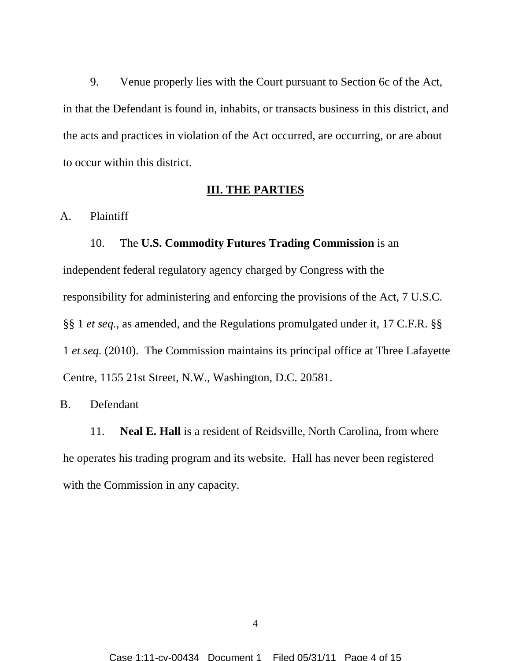9. Venue properly lies with the Court pursuant to Section 6c of the Act, in that the Defendant is found in, inhabits, or transacts business in this district, and the acts and practices in violation of the Act occurred, are occurring, or are about to occur within this district.

### **III. THE PARTIES**

A. Plaintiff

#### 10. The **U.S. Commodity Futures Trading Commission** is an

independent federal regulatory agency charged by Congress with the responsibility for administering and enforcing the provisions of the Act, 7 U.S.C. §§ 1 *et seq.*, as amended, and the Regulations promulgated under it, 17 C.F.R. §§ 1 *et seq.* (2010). The Commission maintains its principal office at Three Lafayette Centre, 1155 21st Street, N.W., Washington, D.C. 20581.

#### B. Defendant

11. **Neal E. Hall** is a resident of Reidsville, North Carolina, from where he operates his trading program and its website. Hall has never been registered with the Commission in any capacity.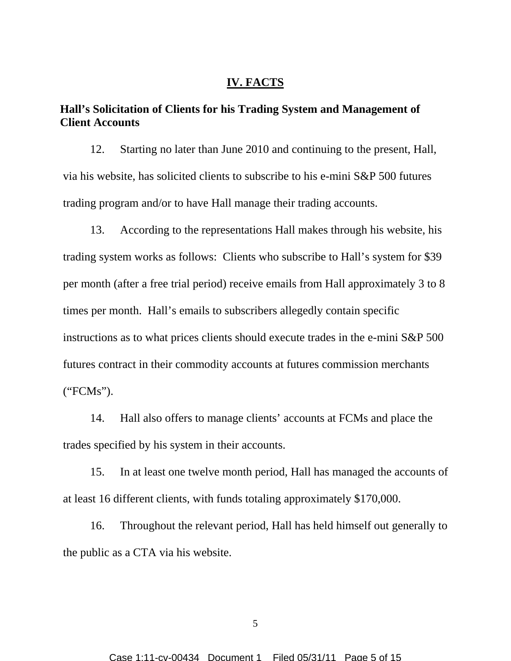#### **IV. FACTS**

# **Hall's Solicitation of Clients for his Trading System and Management of Client Accounts**

12. Starting no later than June 2010 and continuing to the present, Hall, via his website, has solicited clients to subscribe to his e-mini S&P 500 futures trading program and/or to have Hall manage their trading accounts.

13. According to the representations Hall makes through his website, his trading system works as follows: Clients who subscribe to Hall's system for \$39 per month (after a free trial period) receive emails from Hall approximately 3 to 8 times per month. Hall's emails to subscribers allegedly contain specific instructions as to what prices clients should execute trades in the e-mini S&P 500 futures contract in their commodity accounts at futures commission merchants ("FCMs").

14. Hall also offers to manage clients' accounts at FCMs and place the trades specified by his system in their accounts.

15. In at least one twelve month period, Hall has managed the accounts of at least 16 different clients, with funds totaling approximately \$170,000.

16. Throughout the relevant period, Hall has held himself out generally to the public as a CTA via his website.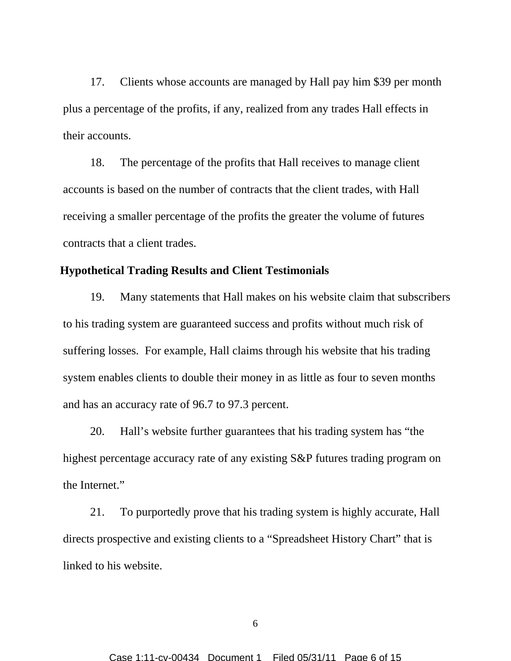17. Clients whose accounts are managed by Hall pay him \$39 per month plus a percentage of the profits, if any, realized from any trades Hall effects in their accounts.

18. The percentage of the profits that Hall receives to manage client accounts is based on the number of contracts that the client trades, with Hall receiving a smaller percentage of the profits the greater the volume of futures contracts that a client trades.

# **Hypothetical Trading Results and Client Testimonials**

19. Many statements that Hall makes on his website claim that subscribers to his trading system are guaranteed success and profits without much risk of suffering losses. For example, Hall claims through his website that his trading system enables clients to double their money in as little as four to seven months and has an accuracy rate of 96.7 to 97.3 percent.

20. Hall's website further guarantees that his trading system has "the highest percentage accuracy rate of any existing S&P futures trading program on the Internet."

21. To purportedly prove that his trading system is highly accurate, Hall directs prospective and existing clients to a "Spreadsheet History Chart" that is linked to his website.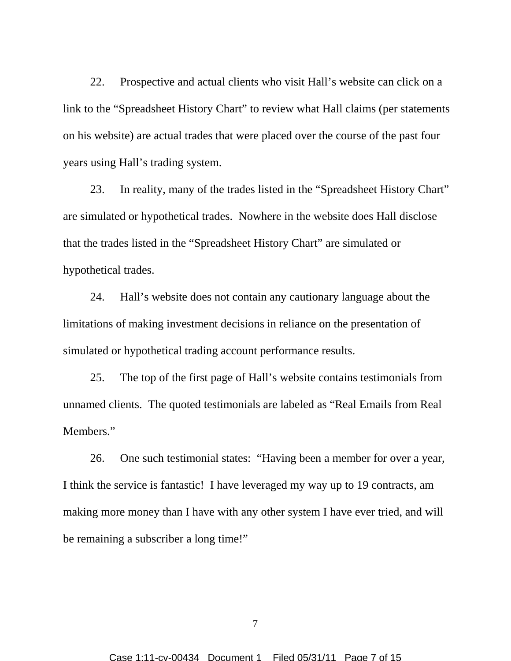22. Prospective and actual clients who visit Hall's website can click on a link to the "Spreadsheet History Chart" to review what Hall claims (per statements on his website) are actual trades that were placed over the course of the past four years using Hall's trading system.

23. In reality, many of the trades listed in the "Spreadsheet History Chart" are simulated or hypothetical trades. Nowhere in the website does Hall disclose that the trades listed in the "Spreadsheet History Chart" are simulated or hypothetical trades.

24. Hall's website does not contain any cautionary language about the limitations of making investment decisions in reliance on the presentation of simulated or hypothetical trading account performance results.

25. The top of the first page of Hall's website contains testimonials from unnamed clients. The quoted testimonials are labeled as "Real Emails from Real Members."

26. One such testimonial states: "Having been a member for over a year, I think the service is fantastic! I have leveraged my way up to 19 contracts, am making more money than I have with any other system I have ever tried, and will be remaining a subscriber a long time!"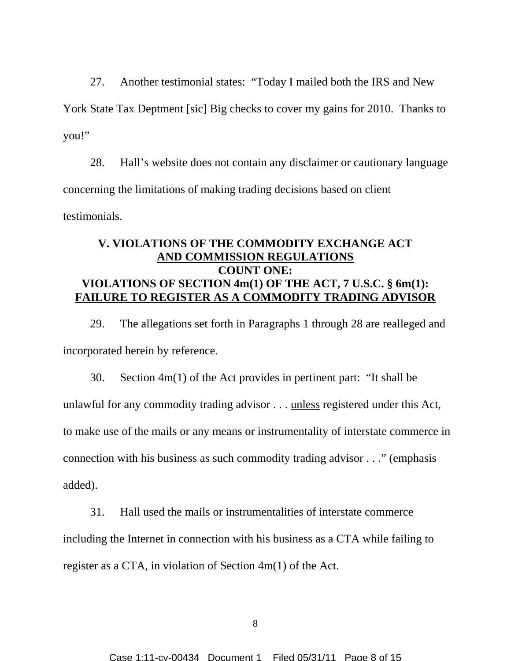27. Another testimonial states: "Today I mailed both the IRS and New York State Tax Deptment [sic] Big checks to cover my gains for 2010. Thanks to you!"

28. Hall's website does not contain any disclaimer or cautionary language concerning the limitations of making trading decisions based on client testimonials.

## **V. VIOLATIONS OF THE COMMODITY EXCHANGE ACT AND COMMISSION REGULATIONS COUNT ONE: VIOLATIONS OF SECTION 4m(1) OF THE ACT, 7 U.S.C. § 6m(1): FAILURE TO REGISTER AS A COMMODITY TRADING ADVISOR**

29. The allegations set forth in Paragraphs 1 through 28 are realleged and incorporated herein by reference.

30. Section 4m(1) of the Act provides in pertinent part: "It shall be unlawful for any commodity trading advisor . . . unless registered under this Act, to make use of the mails or any means or instrumentality of interstate commerce in connection with his business as such commodity trading advisor . . ." (emphasis added).

31. Hall used the mails or instrumentalities of interstate commerce including the Internet in connection with his business as a CTA while failing to register as a CTA, in violation of Section 4m(1) of the Act.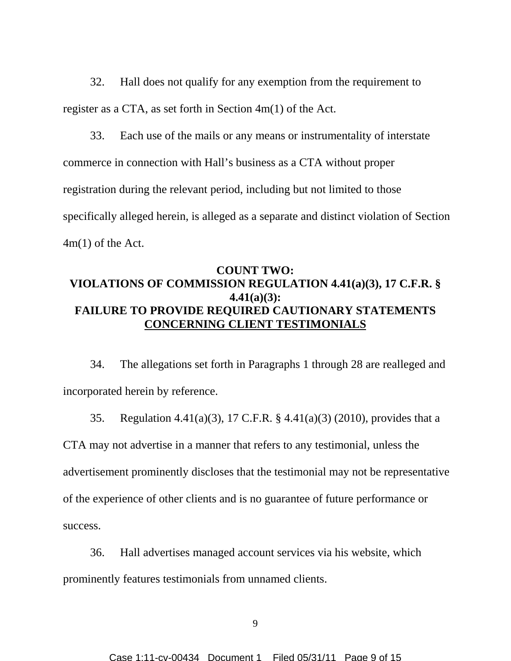32. Hall does not qualify for any exemption from the requirement to register as a CTA, as set forth in Section 4m(1) of the Act.

33. Each use of the mails or any means or instrumentality of interstate commerce in connection with Hall's business as a CTA without proper registration during the relevant period, including but not limited to those specifically alleged herein, is alleged as a separate and distinct violation of Section 4m(1) of the Act.

## **COUNT TWO: VIOLATIONS OF COMMISSION REGULATION 4.41(a)(3), 17 C.F.R. § 4.41(a)(3): FAILURE TO PROVIDE REQUIRED CAUTIONARY STATEMENTS CONCERNING CLIENT TESTIMONIALS**

34. The allegations set forth in Paragraphs 1 through 28 are realleged and incorporated herein by reference.

35. Regulation 4.41(a)(3), 17 C.F.R. § 4.41(a)(3) (2010), provides that a CTA may not advertise in a manner that refers to any testimonial, unless the advertisement prominently discloses that the testimonial may not be representative of the experience of other clients and is no guarantee of future performance or success.

36. Hall advertises managed account services via his website, which prominently features testimonials from unnamed clients.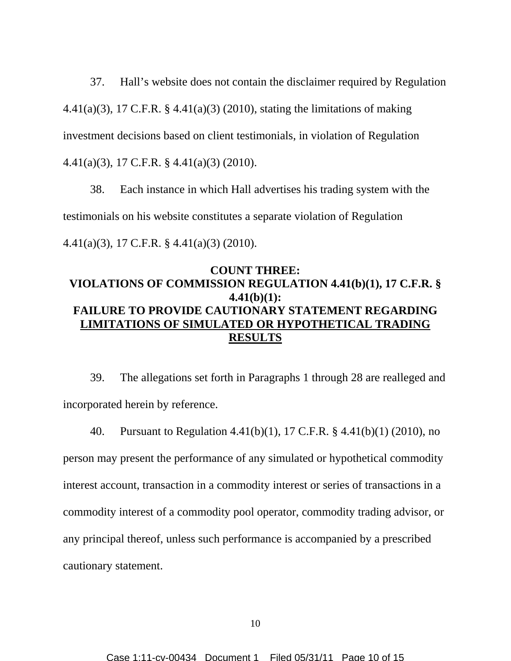37. Hall's website does not contain the disclaimer required by Regulation 4.41(a)(3), 17 C.F.R. § 4.41(a)(3) (2010), stating the limitations of making investment decisions based on client testimonials, in violation of Regulation 4.41(a)(3), 17 C.F.R. § 4.41(a)(3) (2010).

38. Each instance in which Hall advertises his trading system with the testimonials on his website constitutes a separate violation of Regulation 4.41(a)(3), 17 C.F.R. § 4.41(a)(3) (2010).

# **COUNT THREE: VIOLATIONS OF COMMISSION REGULATION 4.41(b)(1), 17 C.F.R. § 4.41(b)(1): FAILURE TO PROVIDE CAUTIONARY STATEMENT REGARDING LIMITATIONS OF SIMULATED OR HYPOTHETICAL TRADING RESULTS**

39. The allegations set forth in Paragraphs 1 through 28 are realleged and incorporated herein by reference.

40. Pursuant to Regulation 4.41(b)(1), 17 C.F.R. § 4.41(b)(1) (2010), no person may present the performance of any simulated or hypothetical commodity interest account, transaction in a commodity interest or series of transactions in a commodity interest of a commodity pool operator, commodity trading advisor, or any principal thereof, unless such performance is accompanied by a prescribed cautionary statement.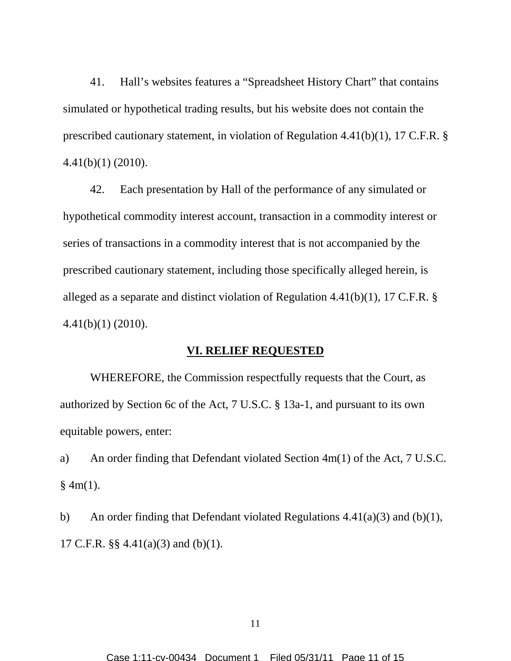41. Hall's websites features a "Spreadsheet History Chart" that contains simulated or hypothetical trading results, but his website does not contain the prescribed cautionary statement, in violation of Regulation 4.41(b)(1), 17 C.F.R. § 4.41(b)(1) (2010).

42. Each presentation by Hall of the performance of any simulated or hypothetical commodity interest account, transaction in a commodity interest or series of transactions in a commodity interest that is not accompanied by the prescribed cautionary statement, including those specifically alleged herein, is alleged as a separate and distinct violation of Regulation 4.41(b)(1), 17 C.F.R. § 4.41(b)(1) (2010).

### **VI. RELIEF REQUESTED**

WHEREFORE, the Commission respectfully requests that the Court, as authorized by Section 6c of the Act, 7 U.S.C. § 13a-1, and pursuant to its own equitable powers, enter:

a) An order finding that Defendant violated Section 4m(1) of the Act, 7 U.S.C.  $§$  4m(1).

b) An order finding that Defendant violated Regulations  $4.41(a)(3)$  and  $(b)(1)$ , 17 C.F.R. §§ 4.41(a)(3) and (b)(1).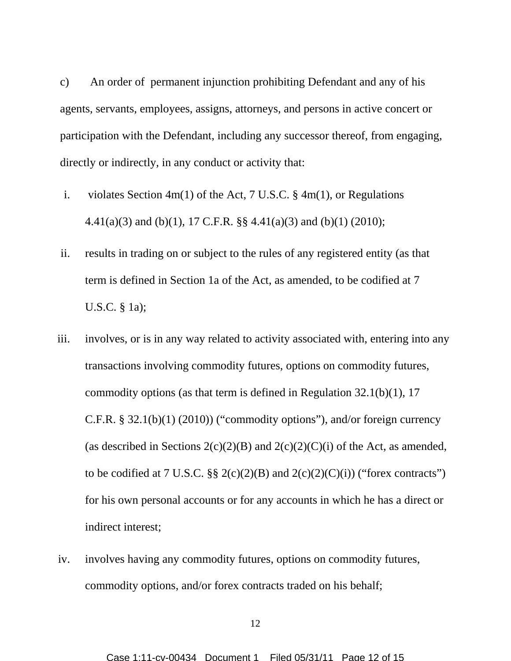c) An order of permanent injunction prohibiting Defendant and any of his agents, servants, employees, assigns, attorneys, and persons in active concert or participation with the Defendant, including any successor thereof, from engaging, directly or indirectly, in any conduct or activity that:

- i. violates Section 4m(1) of the Act, 7 U.S.C. § 4m(1), or Regulations 4.41(a)(3) and (b)(1), 17 C.F.R. §§ 4.41(a)(3) and (b)(1) (2010);
- ii. results in trading on or subject to the rules of any registered entity (as that term is defined in Section 1a of the Act, as amended, to be codified at 7 U.S.C. § 1a);
- iii. involves, or is in any way related to activity associated with, entering into any transactions involving commodity futures, options on commodity futures, commodity options (as that term is defined in Regulation 32.1(b)(1), 17 C.F.R. §  $32.1(b)(1)$  (2010)) ("commodity options"), and/or foreign currency (as described in Sections  $2(c)(2)(B)$  and  $2(c)(2)(C)(i)$  of the Act, as amended, to be codified at 7 U.S.C. §§ 2(c)(2)(B) and 2(c)(2)(C)(i)) ("forex contracts") for his own personal accounts or for any accounts in which he has a direct or indirect interest;
- iv. involves having any commodity futures, options on commodity futures, commodity options, and/or forex contracts traded on his behalf;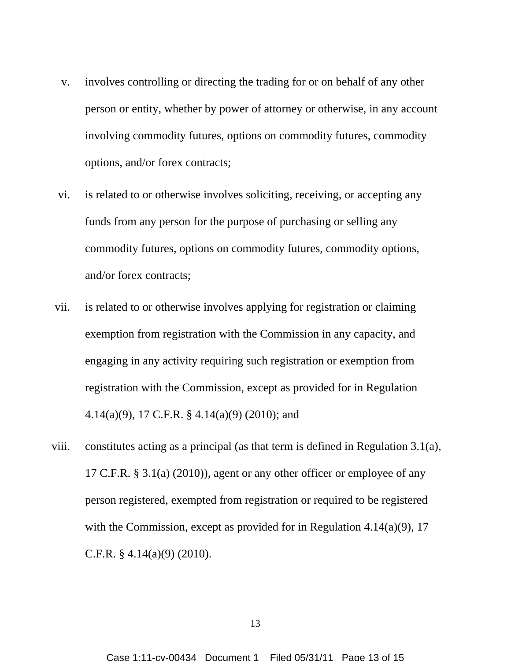- v. involves controlling or directing the trading for or on behalf of any other person or entity, whether by power of attorney or otherwise, in any account involving commodity futures, options on commodity futures, commodity options, and/or forex contracts;
- vi. is related to or otherwise involves soliciting, receiving, or accepting any funds from any person for the purpose of purchasing or selling any commodity futures, options on commodity futures, commodity options, and/or forex contracts;
- vii. is related to or otherwise involves applying for registration or claiming exemption from registration with the Commission in any capacity, and engaging in any activity requiring such registration or exemption from registration with the Commission, except as provided for in Regulation 4.14(a)(9), 17 C.F.R. § 4.14(a)(9) (2010); and
- viii. constitutes acting as a principal (as that term is defined in Regulation 3.1(a), 17 C.F.R. § 3.1(a) (2010)), agent or any other officer or employee of any person registered, exempted from registration or required to be registered with the Commission, except as provided for in Regulation 4.14(a)(9), 17 C.F.R. § 4.14(a)(9) (2010).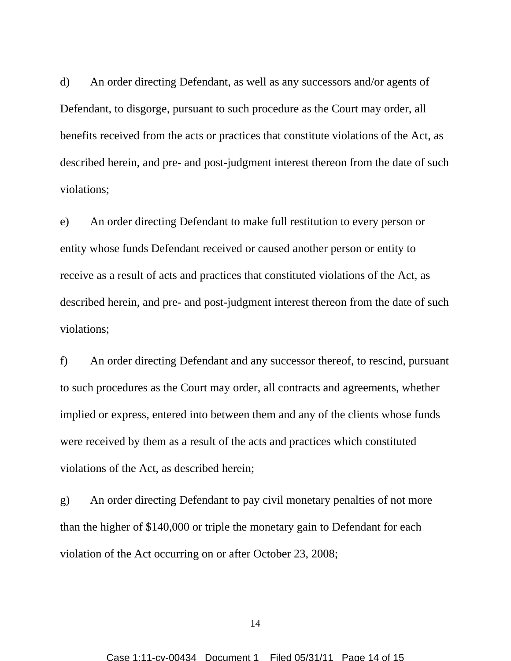d) An order directing Defendant, as well as any successors and/or agents of Defendant, to disgorge, pursuant to such procedure as the Court may order, all benefits received from the acts or practices that constitute violations of the Act, as described herein, and pre- and post-judgment interest thereon from the date of such violations;

e) An order directing Defendant to make full restitution to every person or entity whose funds Defendant received or caused another person or entity to receive as a result of acts and practices that constituted violations of the Act, as described herein, and pre- and post-judgment interest thereon from the date of such violations;

f) An order directing Defendant and any successor thereof, to rescind, pursuant to such procedures as the Court may order, all contracts and agreements, whether implied or express, entered into between them and any of the clients whose funds were received by them as a result of the acts and practices which constituted violations of the Act, as described herein;

g) An order directing Defendant to pay civil monetary penalties of not more than the higher of \$140,000 or triple the monetary gain to Defendant for each violation of the Act occurring on or after October 23, 2008;